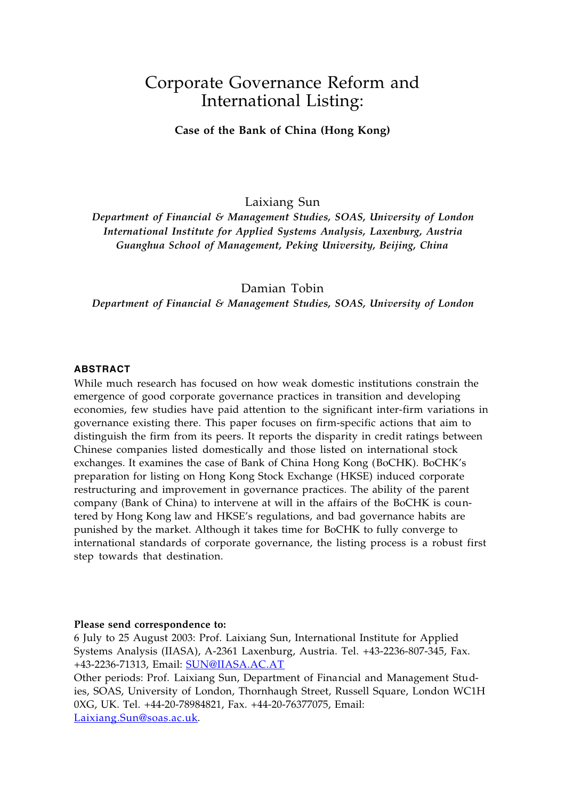# Corporate Governance Reform and International Listing:

**Case of the Bank of China (Hong Kong)**

Laixiang Sun

*Department of Financial & Management Studies, SOAS, University of London International Institute for Applied Systems Analysis, Laxenburg, Austria Guanghua School of Management, Peking University, Beijing, China*

Damian Tobin

*Department of Financial & Management Studies, SOAS, University of London*

## **ABSTRACT**

While much research has focused on how weak domestic institutions constrain the emergence of good corporate governance practices in transition and developing economies, few studies have paid attention to the significant inter-firm variations in governance existing there. This paper focuses on firm-specific actions that aim to distinguish the firm from its peers. It reports the disparity in credit ratings between Chinese companies listed domestically and those listed on international stock exchanges. It examines the case of Bank of China Hong Kong (BoCHK). BoCHK's preparation for listing on Hong Kong Stock Exchange (HKSE) induced corporate restructuring and improvement in governance practices. The ability of the parent company (Bank of China) to intervene at will in the affairs of the BoCHK is countered by Hong Kong law and HKSE's regulations, and bad governance habits are punished by the market. Although it takes time for BoCHK to fully converge to international standards of corporate governance, the listing process is a robust first step towards that destination.

#### **Please send correspondence to:**

6 July to 25 August 2003: Prof. Laixiang Sun, International Institute for Applied Systems Analysis (IIASA), A-2361 Laxenburg, Austria. Tel. +43-2236-807-345, Fax. +43-2236-71313, Email: SUN@IIASA.AC.AT

Other periods: Prof. Laixiang Sun, Department of Financial and Management Studies, SOAS, University of London, Thornhaugh Street, Russell Square, London WC1H 0XG, UK. Tel. +44-20-78984821, Fax. +44-20-76377075, Email: Laixiang.Sun@soas.ac.uk .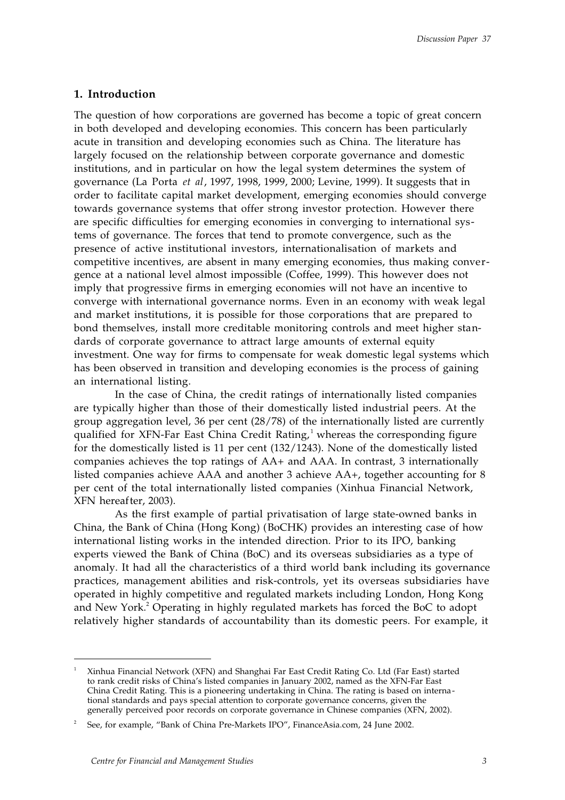## **1. Introduction**

The question of how corporations are governed has become a topic of great concern in both developed and developing economies. This concern has been particularly acute in transition and developing economies such as China. The literature has largely focused on the relationship between corporate governance and domestic institutions, and in particular on how the legal system determines the system of governance (La Porta *et al*, 1997, 1998, 1999, 2000; Levine, 1999). It suggests that in order to facilitate capital market development, emerging economies should converge towards governance systems that offer strong investor protection. However there are specific difficulties for emerging economies in converging to international systems of governance. The forces that tend to promote convergence, such as the presence of active institutional investors, internationalisation of markets and competitive incentives, are absent in many emerging economies, thus making convergence at a national level almost impossible (Coffee, 1999). This however does not imply that progressive firms in emerging economies will not have an incentive to converge with international governance norms. Even in an economy with weak legal and market institutions, it is possible for those corporations that are prepared to bond themselves, install more creditable monitoring controls and meet higher standards of corporate governance to attract large amounts of external equity investment. One way for firms to compensate for weak domestic legal systems which has been observed in transition and developing economies is the process of gaining an international listing.

In the case of China, the credit ratings of internationally listed companies are typically higher than those of their domestically listed industrial peers. At the group aggregation level, 36 per cent (28/78) of the internationally listed are currently qualified for XFN-Far East China Credit Rating,<sup>1</sup> whereas the corresponding figure for the domestically listed is 11 per cent (132/1243). None of the domestically listed companies achieves the top ratings of AA+ and AAA. In contrast, 3 internationally listed companies achieve AAA and another 3 achieve AA+, together accounting for 8 per cent of the total internationally listed companies (Xinhua Financial Network, XFN hereafter, 2003).

As the first example of partial privatisation of large state-owned banks in China, the Bank of China (Hong Kong) (BoCHK) provides an interesting case of how international listing works in the intended direction. Prior to its IPO, banking experts viewed the Bank of China (BoC) and its overseas subsidiaries as a type of anomaly. It had all the characteristics of a third world bank including its governance practices, management abilities and risk-controls, yet its overseas subsidiaries have operated in highly competitive and regulated markets including London, Hong Kong and New York.<sup>2</sup> Operating in highly regulated markets has forced the BoC to adopt relatively higher standards of accountability than its domestic peers. For example, it

 $\frac{1}{1}$  Xinhua Financial Network (XFN) and Shanghai Far East Credit Rating Co. Ltd (Far East) started to rank credit risks of China's listed companies in January 2002, named as the XFN-Far East China Credit Rating. This is a pioneering undertaking in China. The rating is based on international standards and pays special attention to corporate governance concerns, given the generally perceived poor records on corporate governance in Chinese companies (XFN, 2002).

<sup>2</sup> See, for example, "Bank of China Pre-Markets IPO", FinanceAsia.com, 24 June 2002.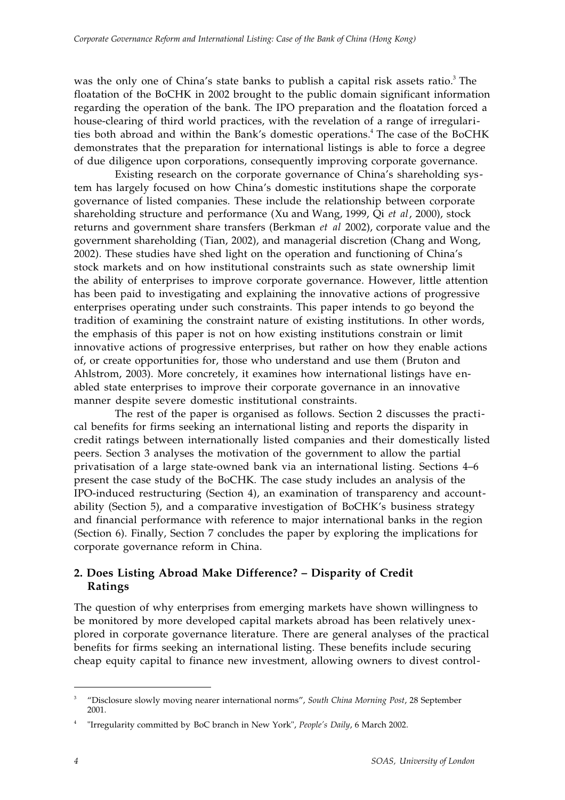was the only one of China's state banks to publish a capital risk assets ratio.<sup>3</sup> The floatation of the BoCHK in 2002 brought to the public domain significant information regarding the operation of the bank. The IPO preparation and the floatation forced a house-clearing of third world practices, with the revelation of a range of irregularities both abroad and within the Bank's domestic operations.<sup>4</sup> The case of the BoCHK demonstrates that the preparation for international listings is able to force a degree of due diligence upon corporations, consequently improving corporate governance.

Existing research on the corporate governance of China's shareholding system has largely focused on how China's domestic institutions shape the corporate governance of listed companies. These include the relationship between corporate shareholding structure and performance (Xu and Wang, 1999, Qi *et al*, 2000), stock returns and government share transfers (Berkman *et al* 2002), corporate value and the government shareholding (Tian, 2002), and managerial discretion (Chang and Wong, 2002). These studies have shed light on the operation and functioning of China's stock markets and on how institutional constraints such as state ownership limit the ability of enterprises to improve corporate governance. However, little attention has been paid to investigating and explaining the innovative actions of progressive enterprises operating under such constraints. This paper intends to go beyond the tradition of examining the constraint nature of existing institutions. In other words, the emphasis of this paper is not on how existing institutions constrain or limit innovative actions of progressive enterprises, but rather on how they enable actions of, or create opportunities for, those who understand and use them (Bruton and Ahlstrom, 2003). More concretely, it examines how international listings have enabled state enterprises to improve their corporate governance in an innovative manner despite severe domestic institutional constraints.

The rest of the paper is organised as follows. Section 2 discusses the practical benefits for firms seeking an international listing and reports the disparity in credit ratings between internationally listed companies and their domestically listed peers. Section 3 analyses the motivation of the government to allow the partial privatisation of a large state-owned bank via an international listing. Sections 4–6 present the case study of the BoCHK. The case study includes an analysis of the IPO-induced restructuring (Section 4), an examination of transparency and accountability (Section 5), and a comparative investigation of BoCHK's business strategy and financial performance with reference to major international banks in the region (Section 6). Finally, Section 7 concludes the paper by exploring the implications for corporate governance reform in China.

## **2. Does Listing Abroad Make Difference? – Disparity of Credit Ratings**

The question of why enterprises from emerging markets have shown willingness to be monitored by more developed capital markets abroad has been relatively unexplored in corporate governance literature. There are general analyses of the practical benefits for firms seeking an international listing. These benefits include securing cheap equity capital to finance new investment, allowing owners to divest control-

<sup>—&</sup>lt;br>3 "Disclosure slowly moving nearer international norms", *South China Morning Post*, 28 September 2001.

<sup>4</sup> "Irregularity committed by BoC branch in New York", *People's Daily*, 6 March 2002.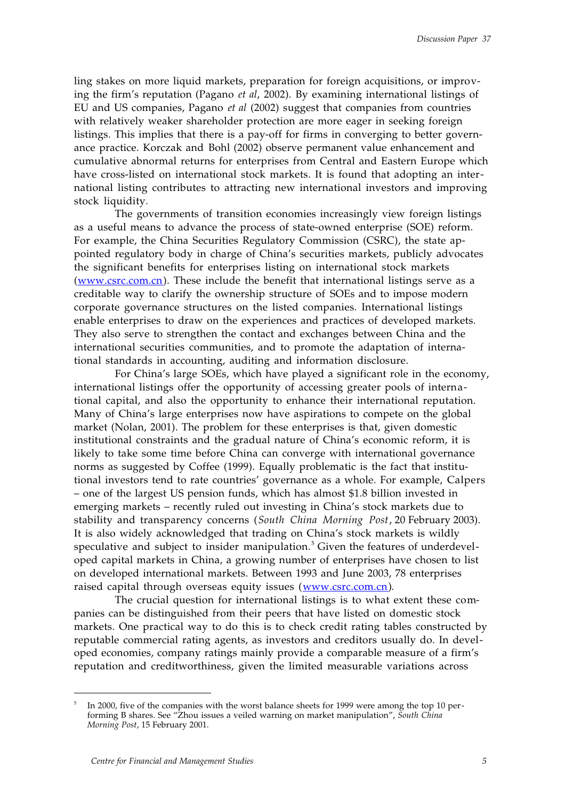ling stakes on more liquid markets, preparation for foreign acquisitions, or improving the firm's reputation (Pagano *et al*, 2002). By examining international listings of EU and US companies, Pagano *et al* (2002) suggest that companies from countries with relatively weaker shareholder protection are more eager in seeking foreign listings. This implies that there is a pay-off for firms in converging to better governance practice. Korczak and Bohl (2002) observe permanent value enhancement and cumulative abnormal returns for enterprises from Central and Eastern Europe which have cross-listed on international stock markets. It is found that adopting an international listing contributes to attracting new international investors and improving stock liquidity.

The governments of transition economies increasingly view foreign listings as a useful means to advance the process of state-owned enterprise (SOE) reform. For example, the China Securities Regulatory Commission (CSRC), the state appointed regulatory body in charge of China's securities markets, publicly advocates the significant benefits for enterprises listing on international stock markets  $(www.csrc.com cn)$ . These include the benefit that international listings serve as a creditable way to clarify the ownership structure of SOEs and to impose modern corporate governance structures on the listed companies. International listings enable enterprises to draw on the experiences and practices of developed markets. They also serve to strengthen the contact and exchanges between China and the international securities communities, and to promote the adaptation of international standards in accounting, auditing and information disclosure.

For China's large SOEs, which have played a significant role in the economy, international listings offer the opportunity of accessing greater pools of international capital, and also the opportunity to enhance their international reputation. Many of China's large enterprises now have aspirations to compete on the global market (Nolan, 2001). The problem for these enterprises is that, given domestic institutional constraints and the gradual nature of China's economic reform, it is likely to take some time before China can converge with international governance norms as suggested by Coffee (1999). Equally problematic is the fact that institutional investors tend to rate countries' governance as a whole. For example, Calpers – one of the largest US pension funds, which has almost \$1.8 billion invested in emerging markets – recently ruled out investing in China's stock markets due to stability and transparency concerns (*South China Morning Post*, 20 February 2003). It is also widely acknowledged that trading on China's stock markets is wildly speculative and subject to insider manipulation.<sup>5</sup> Given the features of underdeveloped capital markets in China, a growing number of enterprises have chosen to list on developed international markets. Between 1993 and June 2003, 78 enterprises raised capital through overseas equity issues (www.csrc.com.cn).

The crucial question for international listings is to what extent these companies can be distinguished from their peers that have listed on domestic stock markets. One practical way to do this is to check credit rating tables constructed by reputable commercial rating agents, as investors and creditors usually do. In developed economies, company ratings mainly provide a comparable measure of a firm's reputation and creditworthiness, given the limited measurable variations across

<sup>-&</sup>lt;br>5 In 2000, five of the companies with the worst balance sheets for 1999 were among the top 10 performing B shares. See "Zhou issues a veiled warning on market manipulation", *South China Morning Post*, 15 February 2001.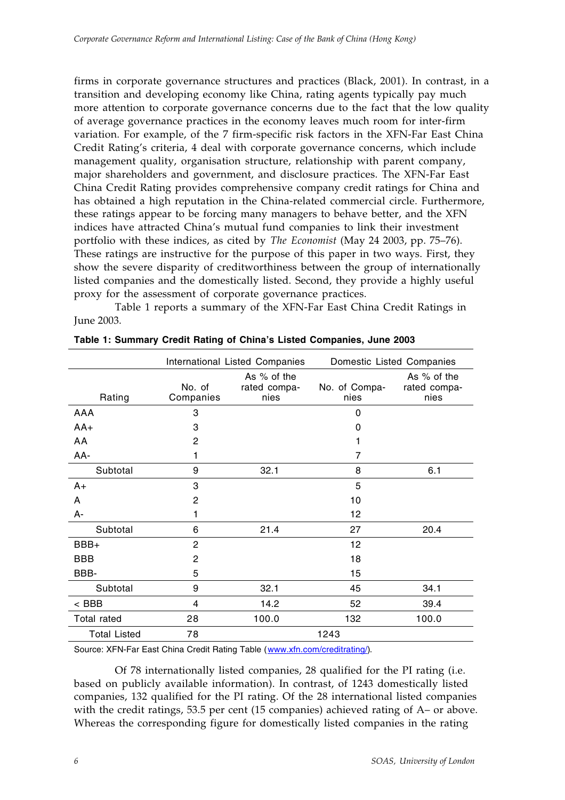firms in corporate governance structures and practices (Black, 2001). In contrast, in a transition and developing economy like China, rating agents typically pay much more attention to corporate governance concerns due to the fact that the low quality of average governance practices in the economy leaves much room for inter-firm variation. For example, of the 7 firm-specific risk factors in the XFN-Far East China Credit Rating's criteria, 4 deal with corporate governance concerns, which include management quality, organisation structure, relationship with parent company, major shareholders and government, and disclosure practices. The XFN-Far East China Credit Rating provides comprehensive company credit ratings for China and has obtained a high reputation in the China-related commercial circle. Furthermore, these ratings appear to be forcing many managers to behave better, and the XFN indices have attracted China's mutual fund companies to link their investment portfolio with these indices, as cited by *The Economist* (May 24 2003, pp. 75–76). These ratings are instructive for the purpose of this paper in two ways. First, they show the severe disparity of creditworthiness between the group of internationally listed companies and the domestically listed. Second, they provide a highly useful proxy for the assessment of corporate governance practices.

Table 1 reports a summary of the XFN-Far East China Credit Ratings in June 2003.

|                     |                     | International Listed Companies      | Domestic Listed Companies |                                     |
|---------------------|---------------------|-------------------------------------|---------------------------|-------------------------------------|
| Rating              | No. of<br>Companies | As % of the<br>rated compa-<br>nies | No. of Compa-<br>nies     | As % of the<br>rated compa-<br>nies |
| AAA                 | 3                   |                                     | 0                         |                                     |
| $AA+$               | 3                   |                                     | 0                         |                                     |
| AA                  | 2                   |                                     |                           |                                     |
| AA-                 |                     |                                     | 7                         |                                     |
| Subtotal            | 9                   | 32.1                                | 8                         | 6.1                                 |
| A+                  | 3                   |                                     | 5                         |                                     |
| A                   | 2                   |                                     | 10                        |                                     |
| А-                  | 1                   |                                     | 12                        |                                     |
| Subtotal            | 6                   | 21.4                                | 27                        | 20.4                                |
| BBB+                | $\overline{2}$      |                                     | 12                        |                                     |
| BBB                 | 2                   |                                     | 18                        |                                     |
| BBB-                | 5                   |                                     | 15                        |                                     |
| Subtotal            | 9                   | 32.1                                | 45                        | 34.1                                |
| $<$ BBB             | 4                   | 14.2                                | 52                        | 39.4                                |
| <b>Total rated</b>  | 28                  | 100.0                               | 132                       | 100.0                               |
| <b>Total Listed</b> | 78                  |                                     | 1243                      |                                     |

**Table 1: Summary Credit Rating of China's Listed Companies, June 2003**

Source: XFN-Far East China Credit Rating Table (www.xfn.com/creditrating/).

Of 78 internationally listed companies, 28 qualified for the PI rating (i.e. based on publicly available information). In contrast, of 1243 domestically listed companies, 132 qualified for the PI rating. Of the 28 international listed companies with the credit ratings, 53.5 per cent (15 companies) achieved rating of A– or above. Whereas the corresponding figure for domestically listed companies in the rating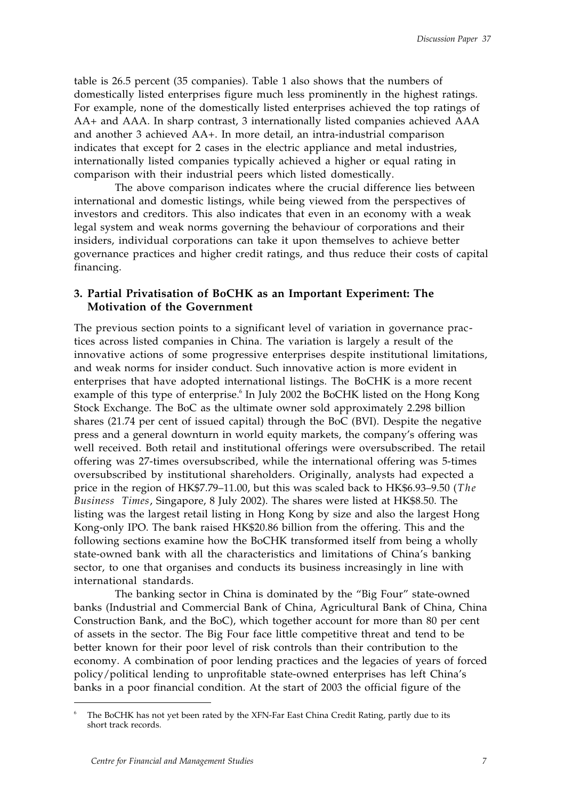table is 26.5 percent (35 companies). Table 1 also shows that the numbers of domestically listed enterprises figure much less prominently in the highest ratings. For example, none of the domestically listed enterprises achieved the top ratings of AA+ and AAA. In sharp contrast, 3 internationally listed companies achieved AAA and another 3 achieved AA+. In more detail, an intra-industrial comparison indicates that except for 2 cases in the electric appliance and metal industries, internationally listed companies typically achieved a higher or equal rating in comparison with their industrial peers which listed domestically.

The above comparison indicates where the crucial difference lies between international and domestic listings, while being viewed from the perspectives of investors and creditors. This also indicates that even in an economy with a weak legal system and weak norms governing the behaviour of corporations and their insiders, individual corporations can take it upon themselves to achieve better governance practices and higher credit ratings, and thus reduce their costs of capital financing.

## **3. Partial Privatisation of BoCHK as an Important Experiment: The Motivation of the Government**

The previous section points to a significant level of variation in governance practices across listed companies in China. The variation is largely a result of the innovative actions of some progressive enterprises despite institutional limitations, and weak norms for insider conduct. Such innovative action is more evident in enterprises that have adopted international listings. The BoCHK is a more recent example of this type of enterprise.<sup>6</sup> In July 2002 the BoCHK listed on the Hong Kong Stock Exchange. The BoC as the ultimate owner sold approximately 2.298 billion shares (21.74 per cent of issued capital) through the BoC (BVI). Despite the negative press and a general downturn in world equity markets, the company's offering was well received. Both retail and institutional offerings were oversubscribed. The retail offering was 27-times oversubscribed, while the international offering was 5-times oversubscribed by institutional shareholders. Originally, analysts had expected a price in the region of HK\$7.79–11.00, but this was scaled back to HK\$6.93–9.50 (*The Business Times*, Singapore, 8 July 2002). The shares were listed at HK\$8.50. The listing was the largest retail listing in Hong Kong by size and also the largest Hong Kong-only IPO. The bank raised HK\$20.86 billion from the offering. This and the following sections examine how the BoCHK transformed itself from being a wholly state-owned bank with all the characteristics and limitations of China's banking sector, to one that organises and conducts its business increasingly in line with international standards.

The banking sector in China is dominated by the "Big Four" state-owned banks (Industrial and Commercial Bank of China, Agricultural Bank of China, China Construction Bank, and the BoC), which together account for more than 80 per cent of assets in the sector. The Big Four face little competitive threat and tend to be better known for their poor level of risk controls than their contribution to the economy. A combination of poor lending practices and the legacies of years of forced policy/political lending to unprofitable state-owned enterprises has left China's banks in a poor financial condition. At the start of 2003 the official figure of the

 $\frac{1}{6}$  The BoCHK has not yet been rated by the XFN-Far East China Credit Rating, partly due to its short track records.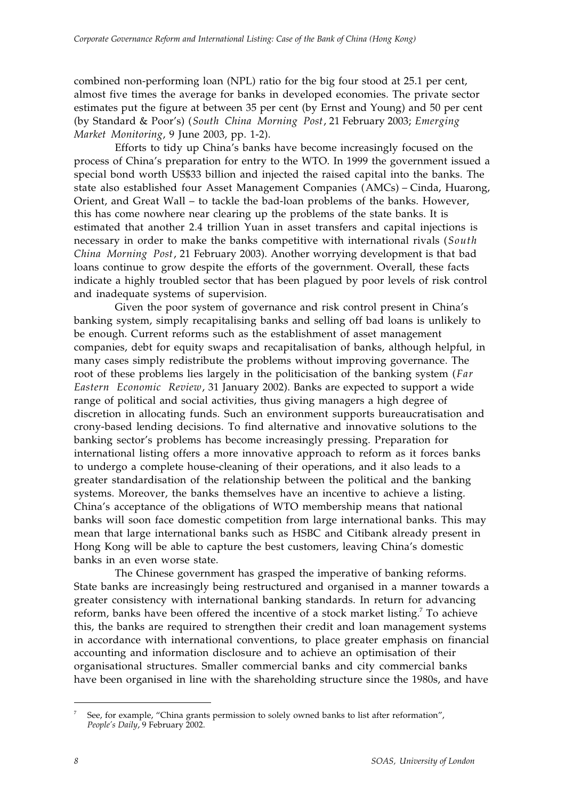combined non-performing loan (NPL) ratio for the big four stood at 25.1 per cent, almost five times the average for banks in developed economies. The private sector estimates put the figure at between 35 per cent (by Ernst and Young) and 50 per cent (by Standard & Poor's) (*South China Morning Post*, 21 February 2003; *Emerging Market Monitoring*, 9 June 2003, pp. 1-2).

Efforts to tidy up China's banks have become increasingly focused on the process of China's preparation for entry to the WTO. In 1999 the government issued a special bond worth US\$33 billion and injected the raised capital into the banks. The state also established four Asset Management Companies (AMCs) – Cinda, Huarong, Orient, and Great Wall – to tackle the bad-loan problems of the banks. However, this has come nowhere near clearing up the problems of the state banks. It is estimated that another 2.4 trillion Yuan in asset transfers and capital injections is necessary in order to make the banks competitive with international rivals (*South China Morning Post*, 21 February 2003). Another worrying development is that bad loans continue to grow despite the efforts of the government. Overall, these facts indicate a highly troubled sector that has been plagued by poor levels of risk control and inadequate systems of supervision.

Given the poor system of governance and risk control present in China's banking system, simply recapitalising banks and selling off bad loans is unlikely to be enough. Current reforms such as the establishment of asset management companies, debt for equity swaps and recapitalisation of banks, although helpful, in many cases simply redistribute the problems without improving governance. The root of these problems lies largely in the politicisation of the banking system (*Far Eastern Economic Review*, 31 January 2002). Banks are expected to support a wide range of political and social activities, thus giving managers a high degree of discretion in allocating funds. Such an environment supports bureaucratisation and crony-based lending decisions. To find alternative and innovative solutions to the banking sector's problems has become increasingly pressing. Preparation for international listing offers a more innovative approach to reform as it forces banks to undergo a complete house-cleaning of their operations, and it also leads to a greater standardisation of the relationship between the political and the banking systems. Moreover, the banks themselves have an incentive to achieve a listing. China's acceptance of the obligations of WTO membership means that national banks will soon face domestic competition from large international banks. This may mean that large international banks such as HSBC and Citibank already present in Hong Kong will be able to capture the best customers, leaving China's domestic banks in an even worse state.

The Chinese government has grasped the imperative of banking reforms. State banks are increasingly being restructured and organised in a manner towards a greater consistency with international banking standards. In return for advancing reform, banks have been offered the incentive of a stock market listing.<sup>7</sup> To achieve this, the banks are required to strengthen their credit and loan management systems in accordance with international conventions, to place greater emphasis on financial accounting and information disclosure and to achieve an optimisation of their organisational structures. Smaller commercial banks and city commercial banks have been organised in line with the shareholding structure since the 1980s, and have

 $\frac{1}{7}$  See, for example, "China grants permission to solely owned banks to list after reformation", *People's Daily*, 9 February 2002.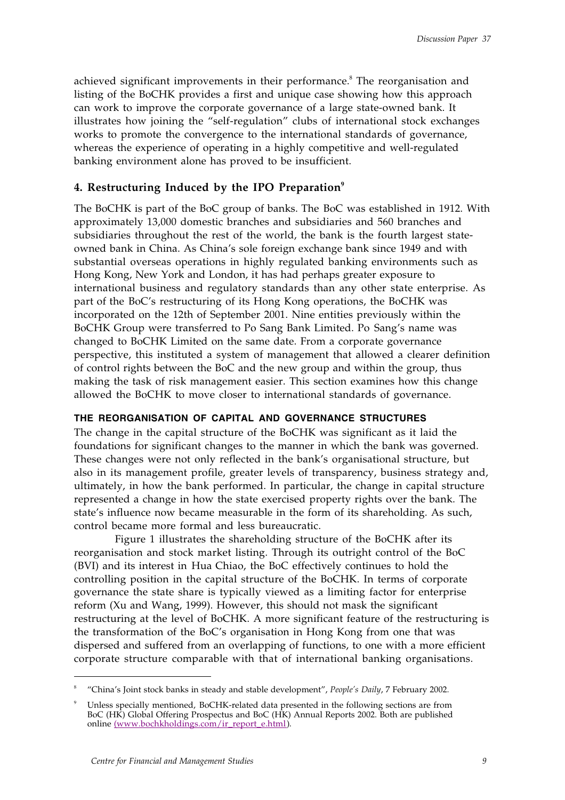achieved significant improvements in their performance.<sup>8</sup> The reorganisation and listing of the BoCHK provides a first and unique case showing how this approach can work to improve the corporate governance of a large state-owned bank. It illustrates how joining the "self-regulation" clubs of international stock exchanges works to promote the convergence to the international standards of governance, whereas the experience of operating in a highly competitive and well-regulated banking environment alone has proved to be insufficient.

## **4. Restructuring Induced by the IPO Preparation9**

The BoCHK is part of the BoC group of banks. The BoC was established in 1912. With approximately 13,000 domestic branches and subsidiaries and 560 branches and subsidiaries throughout the rest of the world, the bank is the fourth largest stateowned bank in China. As China's sole foreign exchange bank since 1949 and with substantial overseas operations in highly regulated banking environments such as Hong Kong, New York and London, it has had perhaps greater exposure to international business and regulatory standards than any other state enterprise. As part of the BoC's restructuring of its Hong Kong operations, the BoCHK was incorporated on the 12th of September 2001. Nine entities previously within the BoCHK Group were transferred to Po Sang Bank Limited. Po Sang's name was changed to BoCHK Limited on the same date. From a corporate governance perspective, this instituted a system of management that allowed a clearer definition of control rights between the BoC and the new group and within the group, thus making the task of risk management easier. This section examines how this change allowed the BoCHK to move closer to international standards of governance.

### **THE REORGANISATION OF CAPITAL AND GOVERNANCE STRUCTURES**

The change in the capital structure of the BoCHK was significant as it laid the foundations for significant changes to the manner in which the bank was governed. These changes were not only reflected in the bank's organisational structure, but also in its management profile, greater levels of transparency, business strategy and, ultimately, in how the bank performed. In particular, the change in capital structure represented a change in how the state exercised property rights over the bank. The state's influence now became measurable in the form of its shareholding. As such, control became more formal and less bureaucratic.

Figure 1 illustrates the shareholding structure of the BoCHK after its reorganisation and stock market listing. Through its outright control of the BoC (BVI) and its interest in Hua Chiao, the BoC effectively continues to hold the controlling position in the capital structure of the BoCHK. In terms of corporate governance the state share is typically viewed as a limiting factor for enterprise reform (Xu and Wang, 1999). However, this should not mask the significant restructuring at the level of BoCHK. A more significant feature of the restructuring is the transformation of the BoC's organisation in Hong Kong from one that was dispersed and suffered from an overlapping of functions, to one with a more efficient corporate structure comparable with that of international banking organisations.

 $\frac{1}{8}$ "China's Joint stock banks in steady and stable development", *People's Daily*, 7 February 2002.

<sup>9</sup> Unless specially mentioned, BoCHK-related data presented in the following sections are from BoC (HK) Global Offering Prospectus and BoC (HK) Annual Reports 2002. Both are published online (www.bochkholdings.com/ir\_report\_e.html).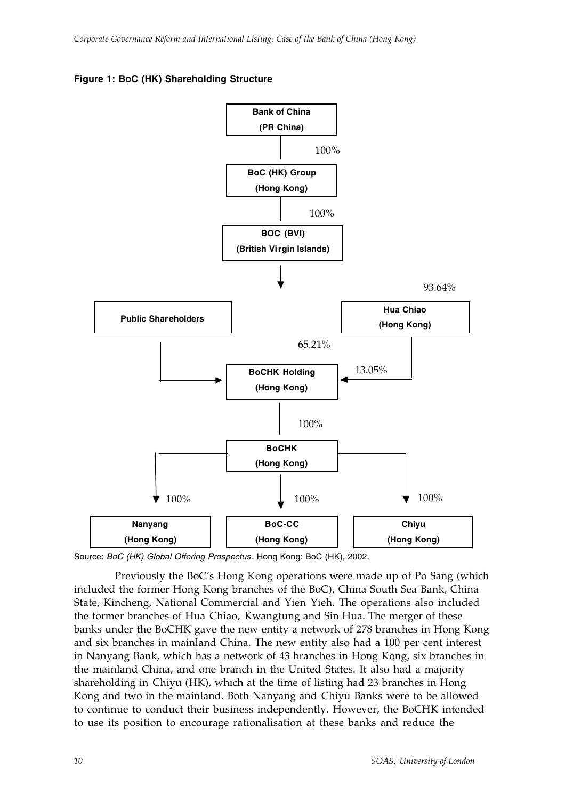



Source: *BoC (HK) Global Offering Prospectus*. Hong Kong: BoC (HK), 2002.

Previously the BoC's Hong Kong operations were made up of Po Sang (which included the former Hong Kong branches of the BoC), China South Sea Bank, China State, Kincheng, National Commercial and Yien Yieh. The operations also included the former branches of Hua Chiao, Kwangtung and Sin Hua. The merger of these banks under the BoCHK gave the new entity a network of 278 branches in Hong Kong and six branches in mainland China. The new entity also had a 100 per cent interest in Nanyang Bank, which has a network of 43 branches in Hong Kong, six branches in the mainland China, and one branch in the United States. It also had a majority shareholding in Chiyu (HK), which at the time of listing had 23 branches in Hong Kong and two in the mainland. Both Nanyang and Chiyu Banks were to be allowed to continue to conduct their business independently. However, the BoCHK intended to use its position to encourage rationalisation at these banks and reduce the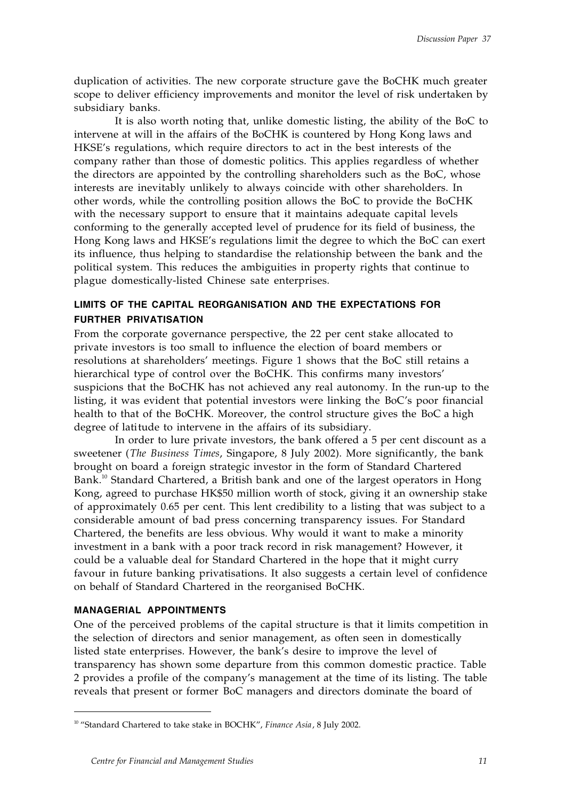duplication of activities. The new corporate structure gave the BoCHK much greater scope to deliver efficiency improvements and monitor the level of risk undertaken by subsidiary banks.

It is also worth noting that, unlike domestic listing, the ability of the BoC to intervene at will in the affairs of the BoCHK is countered by Hong Kong laws and HKSE's regulations, which require directors to act in the best interests of the company rather than those of domestic politics. This applies regardless of whether the directors are appointed by the controlling shareholders such as the BoC, whose interests are inevitably unlikely to always coincide with other shareholders. In other words, while the controlling position allows the BoC to provide the BoCHK with the necessary support to ensure that it maintains adequate capital levels conforming to the generally accepted level of prudence for its field of business, the Hong Kong laws and HKSE's regulations limit the degree to which the BoC can exert its influence, thus helping to standardise the relationship between the bank and the political system. This reduces the ambiguities in property rights that continue to plague domestically-listed Chinese sate enterprises.

## **LIMITS OF THE CAPITAL REORGANISATION AND THE EXPECTATIONS FOR FURTHER PRIVATISATION**

From the corporate governance perspective, the 22 per cent stake allocated to private investors is too small to influence the election of board members or resolutions at shareholders' meetings. Figure 1 shows that the BoC still retains a hierarchical type of control over the BoCHK. This confirms many investors' suspicions that the BoCHK has not achieved any real autonomy. In the run-up to the listing, it was evident that potential investors were linking the BoC's poor financial health to that of the BoCHK. Moreover, the control structure gives the BoC a high degree of latitude to intervene in the affairs of its subsidiary.

In order to lure private investors, the bank offered a 5 per cent discount as a sweetener (*The Business Times*, Singapore, 8 July 2002). More significantly, the bank brought on board a foreign strategic investor in the form of Standard Chartered Bank.<sup>10</sup> Standard Chartered, a British bank and one of the largest operators in Hong Kong, agreed to purchase HK\$50 million worth of stock, giving it an ownership stake of approximately 0.65 per cent. This lent credibility to a listing that was subject to a considerable amount of bad press concerning transparency issues. For Standard Chartered, the benefits are less obvious. Why would it want to make a minority investment in a bank with a poor track record in risk management? However, it could be a valuable deal for Standard Chartered in the hope that it might curry favour in future banking privatisations. It also suggests a certain level of confidence on behalf of Standard Chartered in the reorganised BoCHK.

## **MANAGERIAL APPOINTMENTS**

One of the perceived problems of the capital structure is that it limits competition in the selection of directors and senior management, as often seen in domestically listed state enterprises. However, the bank's desire to improve the level of transparency has shown some departure from this common domestic practice. Table 2 provides a profile of the company's management at the time of its listing. The table reveals that present or former BoC managers and directors dominate the board of

 <sup>10 &</sup>quot;Standard Chartered to take stake in BOCHK", *Finance Asia*, 8 July 2002.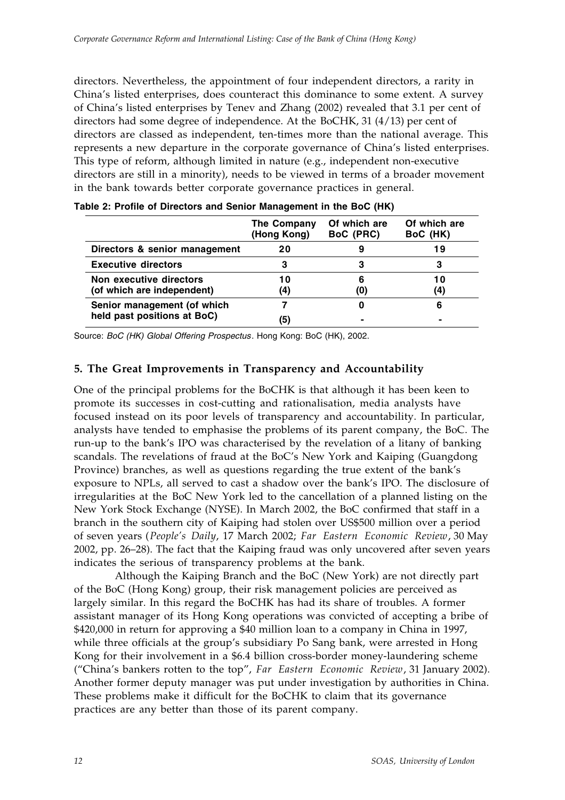directors. Nevertheless, the appointment of four independent directors, a rarity in China's listed enterprises, does counteract this dominance to some extent. A survey of China's listed enterprises by Tenev and Zhang (2002) revealed that 3.1 per cent of directors had some degree of independence. At the BoCHK, 31 (4/13) per cent of directors are classed as independent, ten-times more than the national average. This represents a new departure in the corporate governance of China's listed enterprises. This type of reform, although limited in nature (e.g., independent non-executive directors are still in a minority), needs to be viewed in terms of a broader movement in the bank towards better corporate governance practices in general.

|                                                       | The Company<br>(Hong Kong) | Of which are<br>BoC (PRC) | Of which are<br>BoC (HK) |
|-------------------------------------------------------|----------------------------|---------------------------|--------------------------|
| Directors & senior management                         | 20                         |                           | 19                       |
| <b>Executive directors</b>                            | 3                          | 3                         | 3                        |
| Non executive directors<br>(of which are independent) | 10<br>(4)                  | 6<br>(0)                  | 1 O<br>4)                |
| Senior management (of which                           |                            | O                         |                          |
| held past positions at BoC)                           | (5)                        |                           |                          |

**Table 2: Profile of Directors and Senior Management in the BoC (HK)**

Source: *BoC (HK) Global Offering Prospectus*. Hong Kong: BoC (HK), 2002.

# **5. The Great Improvements in Transparency and Accountability**

One of the principal problems for the BoCHK is that although it has been keen to promote its successes in cost-cutting and rationalisation, media analysts have focused instead on its poor levels of transparency and accountability. In particular, analysts have tended to emphasise the problems of its parent company, the BoC. The run-up to the bank's IPO was characterised by the revelation of a litany of banking scandals. The revelations of fraud at the BoC's New York and Kaiping (Guangdong Province) branches, as well as questions regarding the true extent of the bank's exposure to NPLs, all served to cast a shadow over the bank's IPO. The disclosure of irregularities at the BoC New York led to the cancellation of a planned listing on the New York Stock Exchange (NYSE). In March 2002, the BoC confirmed that staff in a branch in the southern city of Kaiping had stolen over US\$500 million over a period of seven years (*People's Daily*, 17 March 2002; *Far Eastern Economic Review*, 30 May 2002, pp. 26–28). The fact that the Kaiping fraud was only uncovered after seven years indicates the serious of transparency problems at the bank.

Although the Kaiping Branch and the BoC (New York) are not directly part of the BoC (Hong Kong) group, their risk management policies are perceived as largely similar. In this regard the BoCHK has had its share of troubles. A former assistant manager of its Hong Kong operations was convicted of accepting a bribe of \$420,000 in return for approving a \$40 million loan to a company in China in 1997, while three officials at the group's subsidiary Po Sang bank, were arrested in Hong Kong for their involvement in a \$6.4 billion cross-border money-laundering scheme ("China's bankers rotten to the top", *Far Eastern Economic Review*, 31 January 2002). Another former deputy manager was put under investigation by authorities in China. These problems make it difficult for the BoCHK to claim that its governance practices are any better than those of its parent company.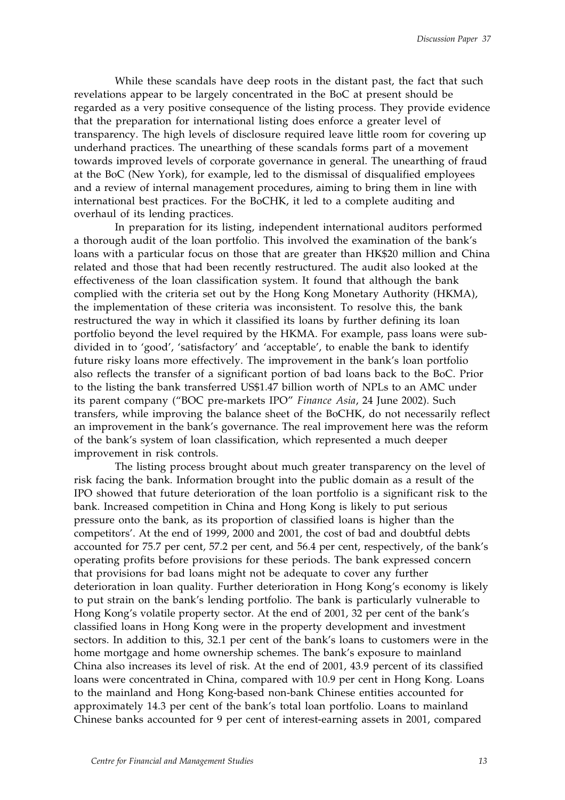While these scandals have deep roots in the distant past, the fact that such revelations appear to be largely concentrated in the BoC at present should be regarded as a very positive consequence of the listing process. They provide evidence that the preparation for international listing does enforce a greater level of transparency. The high levels of disclosure required leave little room for covering up underhand practices. The unearthing of these scandals forms part of a movement towards improved levels of corporate governance in general. The unearthing of fraud at the BoC (New York), for example, led to the dismissal of disqualified employees and a review of internal management procedures, aiming to bring them in line with international best practices. For the BoCHK, it led to a complete auditing and overhaul of its lending practices.

In preparation for its listing, independent international auditors performed a thorough audit of the loan portfolio. This involved the examination of the bank's loans with a particular focus on those that are greater than HK\$20 million and China related and those that had been recently restructured. The audit also looked at the effectiveness of the loan classification system. It found that although the bank complied with the criteria set out by the Hong Kong Monetary Authority (HKMA), the implementation of these criteria was inconsistent. To resolve this, the bank restructured the way in which it classified its loans by further defining its loan portfolio beyond the level required by the HKMA. For example, pass loans were subdivided in to 'good', 'satisfactory' and 'acceptable', to enable the bank to identify future risky loans more effectively. The improvement in the bank's loan portfolio also reflects the transfer of a significant portion of bad loans back to the BoC. Prior to the listing the bank transferred US\$1.47 billion worth of NPLs to an AMC under its parent company ("BOC pre-markets IPO" *Finance Asia*, 24 June 2002). Such transfers, while improving the balance sheet of the BoCHK, do not necessarily reflect an improvement in the bank's governance. The real improvement here was the reform of the bank's system of loan classification, which represented a much deeper improvement in risk controls.

The listing process brought about much greater transparency on the level of risk facing the bank. Information brought into the public domain as a result of the IPO showed that future deterioration of the loan portfolio is a significant risk to the bank. Increased competition in China and Hong Kong is likely to put serious pressure onto the bank, as its proportion of classified loans is higher than the competitors'. At the end of 1999, 2000 and 2001, the cost of bad and doubtful debts accounted for 75.7 per cent, 57.2 per cent, and 56.4 per cent, respectively, of the bank's operating profits before provisions for these periods. The bank expressed concern that provisions for bad loans might not be adequate to cover any further deterioration in loan quality. Further deterioration in Hong Kong's economy is likely to put strain on the bank's lending portfolio. The bank is particularly vulnerable to Hong Kong's volatile property sector. At the end of 2001, 32 per cent of the bank's classified loans in Hong Kong were in the property development and investment sectors. In addition to this, 32.1 per cent of the bank's loans to customers were in the home mortgage and home ownership schemes. The bank's exposure to mainland China also increases its level of risk. At the end of 2001, 43.9 percent of its classified loans were concentrated in China, compared with 10.9 per cent in Hong Kong. Loans to the mainland and Hong Kong-based non-bank Chinese entities accounted for approximately 14.3 per cent of the bank's total loan portfolio. Loans to mainland Chinese banks accounted for 9 per cent of interest-earning assets in 2001, compared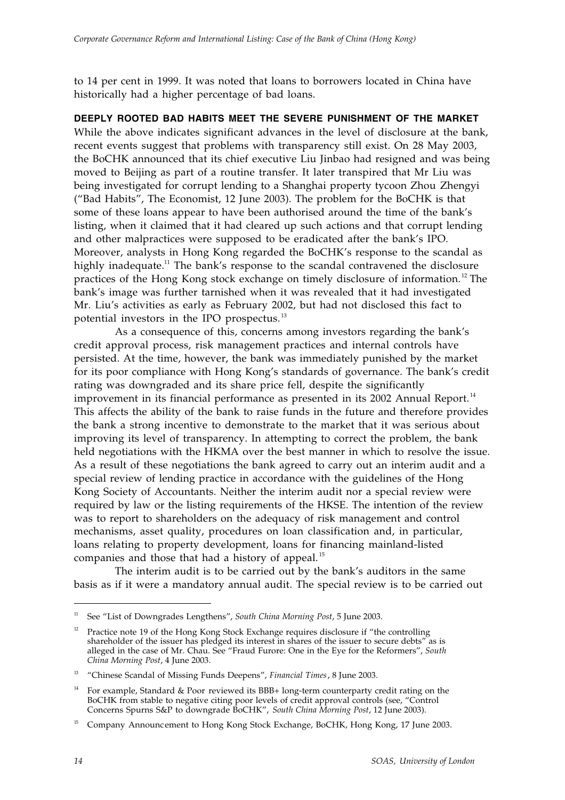to 14 per cent in 1999. It was noted that loans to borrowers located in China have historically had a higher percentage of bad loans.

**DEEPLY ROOTED BAD HABITS MEET THE SEVERE PUNISHMENT OF THE MARKET**

While the above indicates significant advances in the level of disclosure at the bank, recent events suggest that problems with transparency still exist. On 28 May 2003, the BoCHK announced that its chief executive Liu Jinbao had resigned and was being moved to Beijing as part of a routine transfer. It later transpired that Mr Liu was being investigated for corrupt lending to a Shanghai property tycoon Zhou Zhengyi ("Bad Habits", The Economist, 12 June 2003). The problem for the BoCHK is that some of these loans appear to have been authorised around the time of the bank's listing, when it claimed that it had cleared up such actions and that corrupt lending and other malpractices were supposed to be eradicated after the bank's IPO. Moreover, analysts in Hong Kong regarded the BoCHK's response to the scandal as highly inadequate.<sup>11</sup> The bank's response to the scandal contravened the disclosure practices of the Hong Kong stock exchange on timely disclosure of information. 12 The bank's image was further tarnished when it was revealed that it had investigated Mr. Liu's activities as early as February 2002, but had not disclosed this fact to potential investors in the IPO prospectus. <sup>13</sup>

As a consequence of this, concerns among investors regarding the bank's credit approval process, risk management practices and internal controls have persisted. At the time, however, the bank was immediately punished by the market for its poor compliance with Hong Kong's standards of governance. The bank's credit rating was downgraded and its share price fell, despite the significantly improvement in its financial performance as presented in its 2002 Annual Report.<sup>14</sup> This affects the ability of the bank to raise funds in the future and therefore provides the bank a strong incentive to demonstrate to the market that it was serious about improving its level of transparency. In attempting to correct the problem, the bank held negotiations with the HKMA over the best manner in which to resolve the issue. As a result of these negotiations the bank agreed to carry out an interim audit and a special review of lending practice in accordance with the guidelines of the Hong Kong Society of Accountants. Neither the interim audit nor a special review were required by law or the listing requirements of the HKSE. The intention of the review was to report to shareholders on the adequacy of risk management and control mechanisms, asset quality, procedures on loan classification and, in particular, loans relating to property development, loans for financing mainland-listed companies and those that had a history of appeal.<sup>15</sup>

The interim audit is to be carried out by the bank's auditors in the same basis as if it were a mandatory annual audit. The special review is to be carried out

 <sup>11</sup> See "List of Downgrades Lengthens", *South China Morning Post*, 5 June 2003.

<sup>&</sup>lt;sup>12</sup> Practice note 19 of the Hong Kong Stock Exchange requires disclosure if "the controlling" shareholder of the issuer has pledged its interest in shares of the issuer to secure debts" as is alleged in the case of Mr. Chau. See "Fraud Furore: One in the Eye for the Reformers", *South China Morning Post*, 4 June 2003.

<sup>&</sup>lt;sup>13</sup> "Chinese Scandal of Missing Funds Deepens", *Financial Times*, 8 June 2003.

For example, Standard & Poor reviewed its BBB+ long-term counterparty credit rating on the BoCHK from stable to negative citing poor levels of credit approval controls (see, "Control Concerns Spurns S&P to downgrade BoCHK", *South China Morning Post*, 12 June 2003).

<sup>15</sup> Company Announcement to Hong Kong Stock Exchange, BoCHK, Hong Kong, 17 June 2003.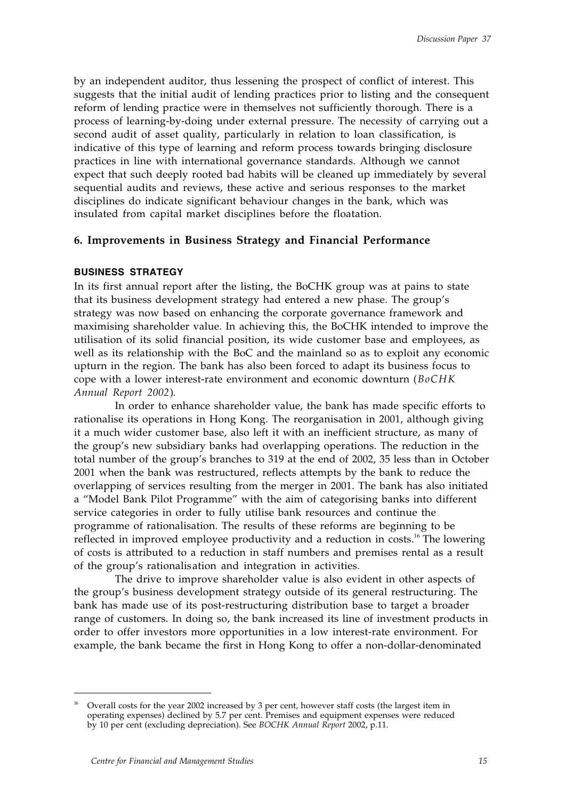by an independent auditor, thus lessening the prospect of conflict of interest. This suggests that the initial audit of lending practices prior to listing and the consequent reform of lending practice were in themselves not sufficiently thorough. There is a process of learning-by-doing under external pressure. The necessity of carrying out a second audit of asset quality, particularly in relation to loan classification, is indicative of this type of learning and reform process towards bringing disclosure practices in line with international governance standards. Although we cannot expect that such deeply rooted bad habits will be cleaned up immediately by several sequential audits and reviews, these active and serious responses to the market disciplines do indicate significant behaviour changes in the bank, which was insulated from capital market disciplines before the floatation.

## **6. Improvements in Business Strategy and Financial Performance**

#### **BUSINESS STRATEGY**

In its first annual report after the listing, the BoCHK group was at pains to state that its business development strategy had entered a new phase. The group's strategy was now based on enhancing the corporate governance framework and maximising shareholder value. In achieving this, the BoCHK intended to improve the utilisation of its solid financial position, its wide customer base and employees, as well as its relationship with the BoC and the mainland so as to exploit any economic upturn in the region. The bank has also been forced to adapt its business focus to cope with a lower interest-rate environment and economic downturn (*BoCHK Annual Report 2002*).

In order to enhance shareholder value, the bank has made specific efforts to rationalise its operations in Hong Kong. The reorganisation in 2001, although giving it a much wider customer base, also left it with an inefficient structure, as many of the group's new subsidiary banks had overlapping operations. The reduction in the total number of the group's branches to 319 at the end of 2002, 35 less than in October 2001 when the bank was restructured, reflects attempts by the bank to reduce the overlapping of services resulting from the merger in 2001. The bank has also initiated a "Model Bank Pilot Programme" with the aim of categorising banks into different service categories in order to fully utilise bank resources and continue the programme of rationalisation. The results of these reforms are beginning to be reflected in improved employee productivity and a reduction in costs.<sup>16</sup> The lowering of costs is attributed to a reduction in staff numbers and premises rental as a result of the group's rationalisation and integration in activities.

The drive to improve shareholder value is also evident in other aspects of the group's business development strategy outside of its general restructuring. The bank has made use of its post-restructuring distribution base to target a broader range of customers. In doing so, the bank increased its line of investment products in order to offer investors more opportunities in a low interest-rate environment. For example, the bank became the first in Hong Kong to offer a non-dollar-denominated

<sup>16</sup> Overall costs for the year 2002 increased by 3 per cent, however staff costs (the largest item in operating expenses) declined by 5.7 per cent. Premises and equipment expenses were reduced by 10 per cent (excluding depreciation). See *BOCHK Annual Report* 2002, p.11.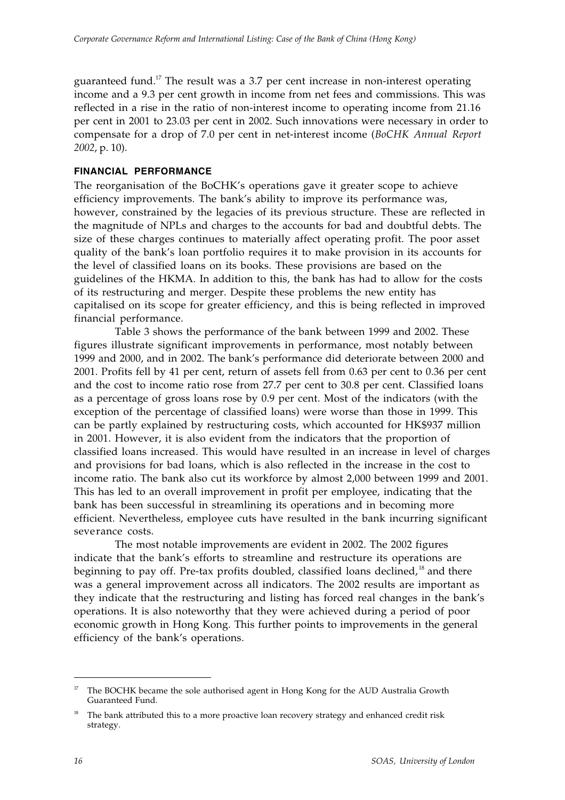guaranteed fund.<sup>17</sup> The result was a 3.7 per cent increase in non-interest operating income and a 9.3 per cent growth in income from net fees and commissions. This was reflected in a rise in the ratio of non-interest income to operating income from 21.16 per cent in 2001 to 23.03 per cent in 2002. Such innovations were necessary in order to compensate for a drop of 7.0 per cent in net-interest income (*BoCHK Annual Report 2002*, p. 10).

### **FINANCIAL PERFORMANCE**

The reorganisation of the BoCHK's operations gave it greater scope to achieve efficiency improvements. The bank's ability to improve its performance was, however, constrained by the legacies of its previous structure. These are reflected in the magnitude of NPLs and charges to the accounts for bad and doubtful debts. The size of these charges continues to materially affect operating profit. The poor asset quality of the bank's loan portfolio requires it to make provision in its accounts for the level of classified loans on its books. These provisions are based on the guidelines of the HKMA. In addition to this, the bank has had to allow for the costs of its restructuring and merger. Despite these problems the new entity has capitalised on its scope for greater efficiency, and this is being reflected in improved financial performance.

Table 3 shows the performance of the bank between 1999 and 2002. These figures illustrate significant improvements in performance, most notably between 1999 and 2000, and in 2002. The bank's performance did deteriorate between 2000 and 2001. Profits fell by 41 per cent, return of assets fell from 0.63 per cent to 0.36 per cent and the cost to income ratio rose from 27.7 per cent to 30.8 per cent. Classified loans as a percentage of gross loans rose by 0.9 per cent. Most of the indicators (with the exception of the percentage of classified loans) were worse than those in 1999. This can be partly explained by restructuring costs, which accounted for HK\$937 million in 2001. However, it is also evident from the indicators that the proportion of classified loans increased. This would have resulted in an increase in level of charges and provisions for bad loans, which is also reflected in the increase in the cost to income ratio. The bank also cut its workforce by almost 2,000 between 1999 and 2001. This has led to an overall improvement in profit per employee, indicating that the bank has been successful in streamlining its operations and in becoming more efficient. Nevertheless, employee cuts have resulted in the bank incurring significant severance costs.

The most notable improvements are evident in 2002. The 2002 figures indicate that the bank's efforts to streamline and restructure its operations are beginning to pay off. Pre-tax profits doubled, classified loans declined,<sup>18</sup> and there was a general improvement across all indicators. The 2002 results are important as they indicate that the restructuring and listing has forced real changes in the bank's operations. It is also noteworthy that they were achieved during a period of poor economic growth in Hong Kong. This further points to improvements in the general efficiency of the bank's operations.

The BOCHK became the sole authorised agent in Hong Kong for the AUD Australia Growth Guaranteed Fund.

<sup>18</sup> The bank attributed this to a more proactive loan recovery strategy and enhanced credit risk strategy.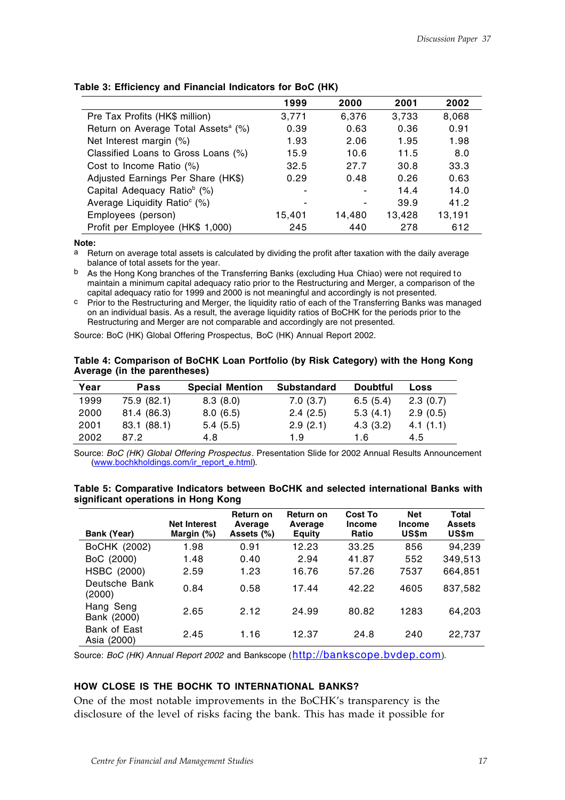|                                                 | 1999   | 2000   | 2001   | 2002   |
|-------------------------------------------------|--------|--------|--------|--------|
| Pre Tax Profits (HK\$ million)                  | 3,771  | 6.376  | 3,733  | 8,068  |
| Return on Average Total Assets <sup>a</sup> (%) | 0.39   | 0.63   | 0.36   | 0.91   |
| Net Interest margin (%)                         | 1.93   | 2.06   | 1.95   | 1.98   |
| Classified Loans to Gross Loans (%)             | 15.9   | 10.6   | 11.5   | 8.0    |
| Cost to Income Ratio (%)                        | 32.5   | 27.7   | 30.8   | 33.3   |
| Adjusted Earnings Per Share (HK\$)              | 0.29   | 0.48   | 0.26   | 0.63   |
| Capital Adequacy Ratio <sup>b</sup> (%)         |        |        | 14.4   | 14.0   |
| Average Liquidity Ratio <sup>c</sup> (%)        |        | ۰      | 39.9   | 41.2   |
| Employees (person)                              | 15,401 | 14,480 | 13.428 | 13,191 |
| Profit per Employee (HK\$ 1,000)                | 245    | 440    | 278    | 612    |

#### **Table 3: Efficiency and Financial Indicators for BoC (HK)**

**Note:**

a Return on average total assets is calculated by dividing the profit after taxation with the daily average balance of total assets for the year.

b As the Hong Kong branches of the Transferring Banks (excluding Hua Chiao) were not required to maintain a minimum capital adequacy ratio prior to the Restructuring and Merger, a comparison of the capital adequacy ratio for 1999 and 2000 is not meaningful and accordingly is not presented.

c Prior to the Restructuring and Merger, the liquidity ratio of each of the Transferring Banks was managed on an individual basis. As a result, the average liquidity ratios of BoCHK for the periods prior to the Restructuring and Merger are not comparable and accordingly are not presented.

Source: BoC (HK) Global Offering Prospectus, BoC (HK) Annual Report 2002.

| Table 4: Comparison of BoCHK Loan Portfolio (by Risk Category) with the Hong Kong |  |  |
|-----------------------------------------------------------------------------------|--|--|
| Average (in the parentheses)                                                      |  |  |

| Year | <b>Pass</b> | <b>Special Mention</b> | <b>Substandard</b> | <b>Doubtful</b> | Loss     |
|------|-------------|------------------------|--------------------|-----------------|----------|
| 1999 | 75.9 (82.1) | 8.3(8.0)               | 7.0(3.7)           | 6.5(5.4)        | 2.3(0.7) |
| 2000 | 81.4 (86.3) | 8.0(6.5)               | 2.4(2.5)           | 5.3(4.1)        | 2.9(0.5) |
| 2001 | 83.1 (88.1) | 5.4(5.5)               | 2.9(2.1)           | 4.3(3.2)        | 4.1(1.1) |
| 2002 | 87.2        | 4.8                    | 1.9                | 1.6             | 4.5      |

Source: *BoC (HK) Global Offering Prospectus*. Presentation Slide for 2002 Annual Results Announcement (www.bochkholdings.com/ir\_report\_e.html).

| Table 5: Comparative Indicators between BoCHK and selected international Banks with |  |  |  |  |
|-------------------------------------------------------------------------------------|--|--|--|--|
| significant operations in Hong Kong                                                 |  |  |  |  |

| Bank (Year)                 | <b>Net Interest</b><br>Margin (%) | Return on<br>Average<br>Assets (%) | <b>Return on</b><br>Average<br><b>Equity</b> | <b>Cost To</b><br><b>Income</b><br>Ratio | <b>Net</b><br><b>Income</b><br>US\$m | <b>Total</b><br><b>Assets</b><br>US\$m |
|-----------------------------|-----------------------------------|------------------------------------|----------------------------------------------|------------------------------------------|--------------------------------------|----------------------------------------|
| BoCHK (2002)                | 1.98                              | 0.91                               | 12.23                                        | 33.25                                    | 856                                  | 94,239                                 |
| BoC (2000)                  | 1.48                              | 0.40                               | 2.94                                         | 41.87                                    | 552                                  | 349,513                                |
| HSBC (2000)                 | 2.59                              | 1.23                               | 16.76                                        | 57.26                                    | 7537                                 | 664,851                                |
| Deutsche Bank<br>(2000)     | 0.84                              | 0.58                               | 17.44                                        | 42.22                                    | 4605                                 | 837,582                                |
| Hang Seng<br>Bank (2000)    | 2.65                              | 2.12                               | 24.99                                        | 80.82                                    | 1283                                 | 64,203                                 |
| Bank of East<br>Asia (2000) | 2.45                              | 1.16                               | 12.37                                        | 24.8                                     | 240                                  | 22,737                                 |

Source: *BoC (HK) Annual Report 2002* and Bankscope (http://bankscope.bvdep.com).

### **HOW CLOSE IS THE BOCHK TO INTERNATIONAL BANKS?**

One of the most notable improvements in the BoCHK's transparency is the disclosure of the level of risks facing the bank. This has made it possible for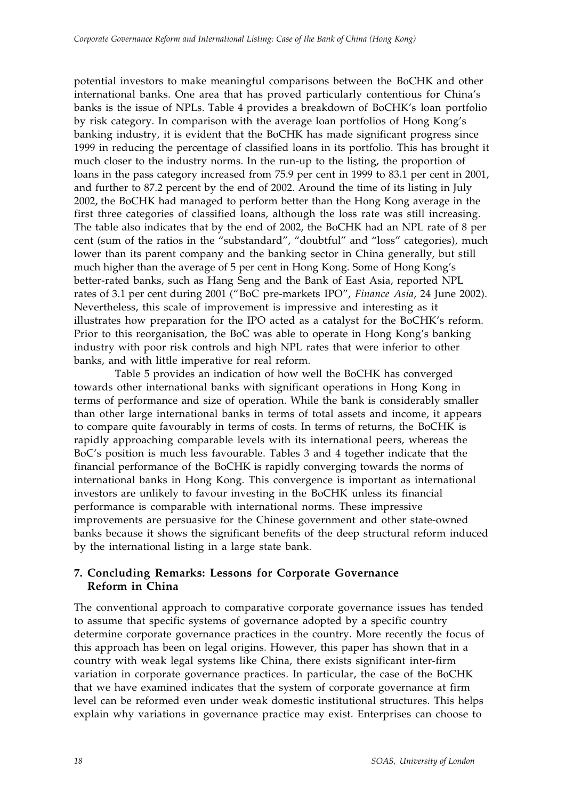potential investors to make meaningful comparisons between the BoCHK and other international banks. One area that has proved particularly contentious for China's banks is the issue of NPLs. Table 4 provides a breakdown of BoCHK's loan portfolio by risk category. In comparison with the average loan portfolios of Hong Kong's banking industry, it is evident that the BoCHK has made significant progress since 1999 in reducing the percentage of classified loans in its portfolio. This has brought it much closer to the industry norms. In the run-up to the listing, the proportion of loans in the pass category increased from 75.9 per cent in 1999 to 83.1 per cent in 2001, and further to 87.2 percent by the end of 2002. Around the time of its listing in July 2002, the BoCHK had managed to perform better than the Hong Kong average in the first three categories of classified loans, although the loss rate was still increasing. The table also indicates that by the end of 2002, the BoCHK had an NPL rate of 8 per cent (sum of the ratios in the "substandard", "doubtful" and "loss" categories), much lower than its parent company and the banking sector in China generally, but still much higher than the average of 5 per cent in Hong Kong. Some of Hong Kong's better-rated banks, such as Hang Seng and the Bank of East Asia, reported NPL rates of 3.1 per cent during 2001 ("BoC pre-markets IPO", *Finance Asia*, 24 June 2002). Nevertheless, this scale of improvement is impressive and interesting as it illustrates how preparation for the IPO acted as a catalyst for the BoCHK's reform. Prior to this reorganisation, the BoC was able to operate in Hong Kong's banking industry with poor risk controls and high NPL rates that were inferior to other banks, and with little imperative for real reform.

Table 5 provides an indication of how well the BoCHK has converged towards other international banks with significant operations in Hong Kong in terms of performance and size of operation. While the bank is considerably smaller than other large international banks in terms of total assets and income, it appears to compare quite favourably in terms of costs. In terms of returns, the BoCHK is rapidly approaching comparable levels with its international peers, whereas the BoC's position is much less favourable. Tables 3 and 4 together indicate that the financial performance of the BoCHK is rapidly converging towards the norms of international banks in Hong Kong. This convergence is important as international investors are unlikely to favour investing in the BoCHK unless its financial performance is comparable with international norms. These impressive improvements are persuasive for the Chinese government and other state-owned banks because it shows the significant benefits of the deep structural reform induced by the international listing in a large state bank.

# **7. Concluding Remarks: Lessons for Corporate Governance Reform in China**

The conventional approach to comparative corporate governance issues has tended to assume that specific systems of governance adopted by a specific country determine corporate governance practices in the country. More recently the focus of this approach has been on legal origins. However, this paper has shown that in a country with weak legal systems like China, there exists significant inter-firm variation in corporate governance practices. In particular, the case of the BoCHK that we have examined indicates that the system of corporate governance at firm level can be reformed even under weak domestic institutional structures. This helps explain why variations in governance practice may exist. Enterprises can choose to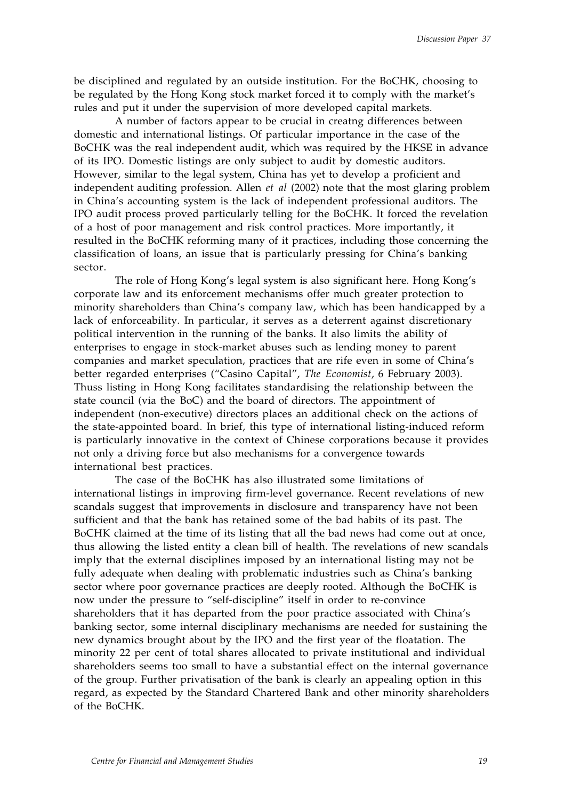be disciplined and regulated by an outside institution. For the BoCHK, choosing to be regulated by the Hong Kong stock market forced it to comply with the market's rules and put it under the supervision of more developed capital markets.

A number of factors appear to be crucial in creatng differences between domestic and international listings. Of particular importance in the case of the BoCHK was the real independent audit, which was required by the HKSE in advance of its IPO. Domestic listings are only subject to audit by domestic auditors. However, similar to the legal system, China has yet to develop a proficient and independent auditing profession. Allen *et al* (2002) note that the most glaring problem in China's accounting system is the lack of independent professional auditors. The IPO audit process proved particularly telling for the BoCHK. It forced the revelation of a host of poor management and risk control practices. More importantly, it resulted in the BoCHK reforming many of it practices, including those concerning the classification of loans, an issue that is particularly pressing for China's banking sector.

The role of Hong Kong's legal system is also significant here. Hong Kong's corporate law and its enforcement mechanisms offer much greater protection to minority shareholders than China's company law, which has been handicapped by a lack of enforceability. In particular, it serves as a deterrent against discretionary political intervention in the running of the banks. It also limits the ability of enterprises to engage in stock-market abuses such as lending money to parent companies and market speculation, practices that are rife even in some of China's better regarded enterprises ("Casino Capital", *The Economist*, 6 February 2003). Thuss listing in Hong Kong facilitates standardising the relationship between the state council (via the BoC) and the board of directors. The appointment of independent (non-executive) directors places an additional check on the actions of the state-appointed board. In brief, this type of international listing-induced reform is particularly innovative in the context of Chinese corporations because it provides not only a driving force but also mechanisms for a convergence towards international best practices.

The case of the BoCHK has also illustrated some limitations of international listings in improving firm-level governance. Recent revelations of new scandals suggest that improvements in disclosure and transparency have not been sufficient and that the bank has retained some of the bad habits of its past. The BoCHK claimed at the time of its listing that all the bad news had come out at once, thus allowing the listed entity a clean bill of health. The revelations of new scandals imply that the external disciplines imposed by an international listing may not be fully adequate when dealing with problematic industries such as China's banking sector where poor governance practices are deeply rooted. Although the BoCHK is now under the pressure to "self-discipline" itself in order to re-convince shareholders that it has departed from the poor practice associated with China's banking sector, some internal disciplinary mechanisms are needed for sustaining the new dynamics brought about by the IPO and the first year of the floatation. The minority 22 per cent of total shares allocated to private institutional and individual shareholders seems too small to have a substantial effect on the internal governance of the group. Further privatisation of the bank is clearly an appealing option in this regard, as expected by the Standard Chartered Bank and other minority shareholders of the BoCHK.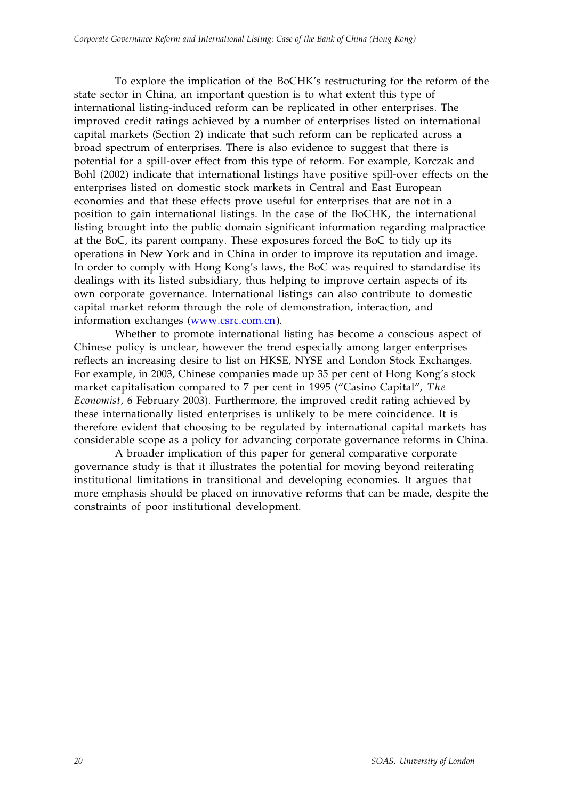To explore the implication of the BoCHK's restructuring for the reform of the state sector in China, an important question is to what extent this type of international listing-induced reform can be replicated in other enterprises. The improved credit ratings achieved by a number of enterprises listed on international capital markets (Section 2) indicate that such reform can be replicated across a broad spectrum of enterprises. There is also evidence to suggest that there is potential for a spill-over effect from this type of reform. For example, Korczak and Bohl (2002) indicate that international listings have positive spill-over effects on the enterprises listed on domestic stock markets in Central and East European economies and that these effects prove useful for enterprises that are not in a position to gain international listings. In the case of the BoCHK, the international listing brought into the public domain significant information regarding malpractice at the BoC, its parent company. These exposures forced the BoC to tidy up its operations in New York and in China in order to improve its reputation and image. In order to comply with Hong Kong's laws, the BoC was required to standardise its dealings with its listed subsidiary, thus helping to improve certain aspects of its own corporate governance. International listings can also contribute to domestic capital market reform through the role of demonstration, interaction, and information exchanges (www.csrc.com.cn).

Whether to promote international listing has become a conscious aspect of Chinese policy is unclear, however the trend especially among larger enterprises reflects an increasing desire to list on HKSE, NYSE and London Stock Exchanges. For example, in 2003, Chinese companies made up 35 per cent of Hong Kong's stock market capitalisation compared to 7 per cent in 1995 ("Casino Capital", *The Economist*, 6 February 2003). Furthermore, the improved credit rating achieved by these internationally listed enterprises is unlikely to be mere coincidence. It is therefore evident that choosing to be regulated by international capital markets has considerable scope as a policy for advancing corporate governance reforms in China.

A broader implication of this paper for general comparative corporate governance study is that it illustrates the potential for moving beyond reiterating institutional limitations in transitional and developing economies. It argues that more emphasis should be placed on innovative reforms that can be made, despite the constraints of poor institutional development.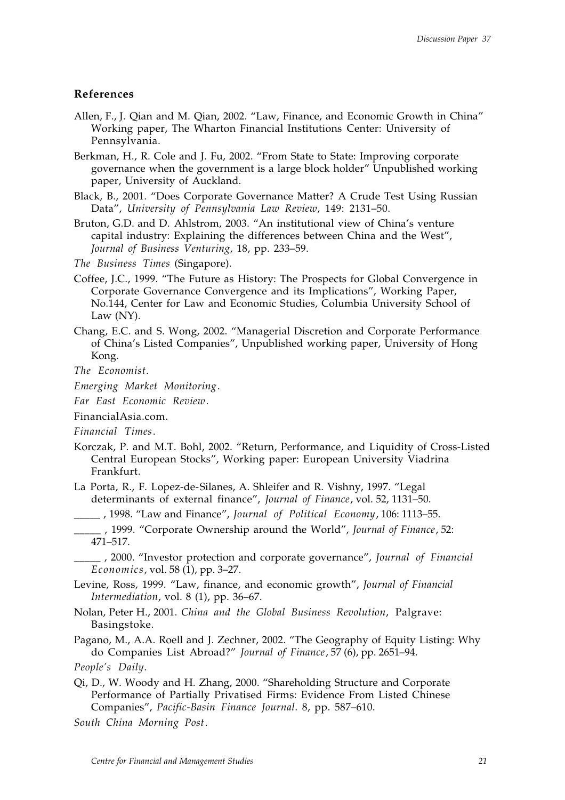## **References**

- Allen, F., J. Qian and M. Qian, 2002. "Law, Finance, and Economic Growth in China" Working paper, The Wharton Financial Institutions Center: University of Pennsylvania.
- Berkman, H., R. Cole and J. Fu, 2002. "From State to State: Improving corporate governance when the government is a large block holder" Unpublished working paper, University of Auckland.
- Black, B., 2001. "Does Corporate Governance Matter? A Crude Test Using Russian Data", *University of Pennsylvania Law Review*, 149: 2131–50.
- Bruton, G.D. and D. Ahlstrom, 2003. "An institutional view of China's venture capital industry: Explaining the differences between China and the West", *Journal of Business Venturing*, 18, pp. 233–59.
- *The Business Times* (Singapore).
- Coffee, J.C., 1999. "The Future as History: The Prospects for Global Convergence in Corporate Governance Convergence and its Implications", Working Paper, No.144, Center for Law and Economic Studies, Columbia University School of Law (NY).
- Chang, E.C. and S. Wong, 2002. "Managerial Discretion and Corporate Performance of China's Listed Companies", Unpublished working paper, University of Hong Kong.
- *The Economist*.
- *Emerging Market Monitoring*.
- *Far East Economic Review*.

FinancialAsia.com.

- *Financial Times*.
- Korczak, P. and M.T. Bohl, 2002. "Return, Performance, and Liquidity of Cross-Listed Central European Stocks", Working paper: European University Viadrina Frankfurt.
- La Porta, R., F. Lopez-de-Silanes, A. Shleifer and R. Vishny, 1997. "Legal determinants of external finance", *Journal of Finance*, vol. 52, 1131–50.

\_\_\_\_\_ , 1998. "Law and Finance", *Journal of Political Economy*, 106: 1113–55.

\_\_\_\_\_ , 1999. "Corporate Ownership around the World", *Journal of Finance*, 52: 471–517.

\_\_\_\_\_ , 2000. "Investor protection and corporate governance", *Journal of Financial Economics*, vol. 58 (1), pp. 3–27.

- Levine, Ross, 1999. "Law, finance, and economic growth", *Journal of Financial Intermediation*, vol. 8 (1), pp. 36–67.
- Nolan, Peter H., 2001. *China and the Global Business Revolution*, Palgrave: Basingstoke.

Pagano, M., A.A. Roell and J. Zechner, 2002. "The Geography of Equity Listing: Why do Companies List Abroad?" *Journal of Finance*, 57 (6), pp. 2651–94.

- Qi, D., W. Woody and H. Zhang, 2000. "Shareholding Structure and Corporate Performance of Partially Privatised Firms: Evidence From Listed Chinese Companies", *Pacific-Basin Finance Journal*. 8, pp. 587–610.
- *South China Morning Post*.

*People's Daily*.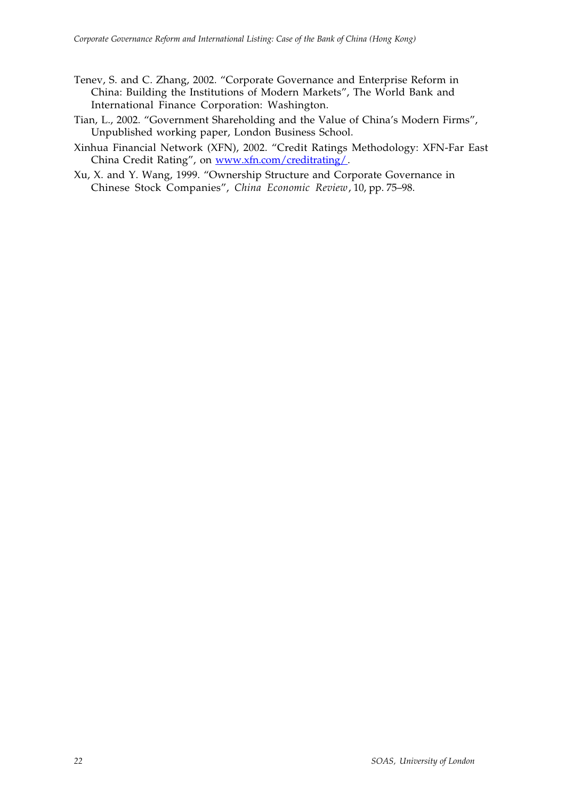- Tenev, S. and C. Zhang, 2002. "Corporate Governance and Enterprise Reform in China: Building the Institutions of Modern Markets", The World Bank and International Finance Corporation: Washington.
- Tian, L., 2002. "Government Shareholding and the Value of China's Modern Firms", Unpublished working paper, London Business School.
- Xinhua Financial Network (XFN), 2002. "Credit Ratings Methodology: XFN-Far East China Credit Rating", on www.xfn.com/creditrating/.
- Xu, X. and Y. Wang, 1999. "Ownership Structure and Corporate Governance in Chinese Stock Companies", *China Economic Review*, 10, pp. 75–98.